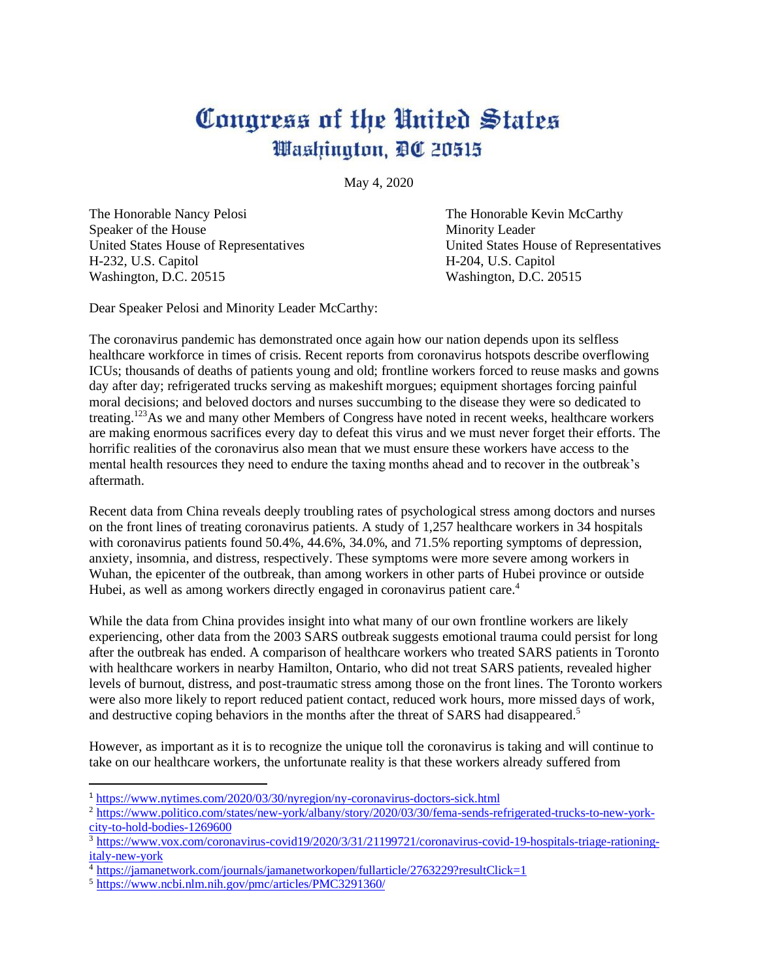## Congress of the United States Washington, DC 20515

May 4, 2020

The Honorable Nancy Pelosi **The Honorable Kevin McCarthy** Speaker of the House Minority Leader H-232, U.S. Capitol H-204, U.S. Capitol Washington, D.C. 20515 Washington, D.C. 20515

United States House of Representatives United States House of Representatives

Dear Speaker Pelosi and Minority Leader McCarthy:

The coronavirus pandemic has demonstrated once again how our nation depends upon its selfless healthcare workforce in times of crisis. Recent reports from coronavirus hotspots describe overflowing ICUs; thousands of deaths of patients young and old; frontline workers forced to reuse masks and gowns day after day; refrigerated trucks serving as makeshift morgues; equipment shortages forcing painful moral decisions; and beloved doctors and nurses succumbing to the disease they were so dedicated to treating.<sup>123</sup>As we and many other Members of Congress have noted in recent weeks, healthcare workers are making enormous sacrifices every day to defeat this virus and we must never forget their efforts. The horrific realities of the coronavirus also mean that we must ensure these workers have access to the mental health resources they need to endure the taxing months ahead and to recover in the outbreak's aftermath.

Recent data from China reveals deeply troubling rates of psychological stress among doctors and nurses on the front lines of treating coronavirus patients. A study of 1,257 healthcare workers in 34 hospitals with coronavirus patients found 50.4%, 44.6%, 34.0%, and 71.5% reporting symptoms of depression, anxiety, insomnia, and distress, respectively. These symptoms were more severe among workers in Wuhan, the epicenter of the outbreak, than among workers in other parts of Hubei province or outside Hubei, as well as among workers directly engaged in coronavirus patient care.<sup>4</sup>

While the data from China provides insight into what many of our own frontline workers are likely experiencing, other data from the 2003 SARS outbreak suggests emotional trauma could persist for long after the outbreak has ended. A comparison of healthcare workers who treated SARS patients in Toronto with healthcare workers in nearby Hamilton, Ontario, who did not treat SARS patients, revealed higher levels of burnout, distress, and post-traumatic stress among those on the front lines. The Toronto workers were also more likely to report reduced patient contact, reduced work hours, more missed days of work, and destructive coping behaviors in the months after the threat of SARS had disappeared.<sup>5</sup>

However, as important as it is to recognize the unique toll the coronavirus is taking and will continue to take on our healthcare workers, the unfortunate reality is that these workers already suffered from

<sup>1</sup> <https://www.nytimes.com/2020/03/30/nyregion/ny-coronavirus-doctors-sick.html>

<sup>&</sup>lt;sup>2</sup> [https://www.politico.com/states/new-york/albany/story/2020/03/30/fema-sends-refrigerated-trucks-to-new-york](https://www.politico.com/states/new-york/albany/story/2020/03/30/fema-sends-refrigerated-trucks-to-new-york-city-to-hold-bodies-1269600)[city-to-hold-bodies-1269600](https://www.politico.com/states/new-york/albany/story/2020/03/30/fema-sends-refrigerated-trucks-to-new-york-city-to-hold-bodies-1269600)

<sup>3</sup> [https://www.vox.com/coronavirus-covid19/2020/3/31/21199721/coronavirus-covid-19-hospitals-triage-rationing](https://www.vox.com/coronavirus-covid19/2020/3/31/21199721/coronavirus-covid-19-hospitals-triage-rationing-italy-new-york)[italy-new-york](https://www.vox.com/coronavirus-covid19/2020/3/31/21199721/coronavirus-covid-19-hospitals-triage-rationing-italy-new-york)

<sup>4</sup> <https://jamanetwork.com/journals/jamanetworkopen/fullarticle/2763229?resultClick=1>

<sup>5</sup> <https://www.ncbi.nlm.nih.gov/pmc/articles/PMC3291360/>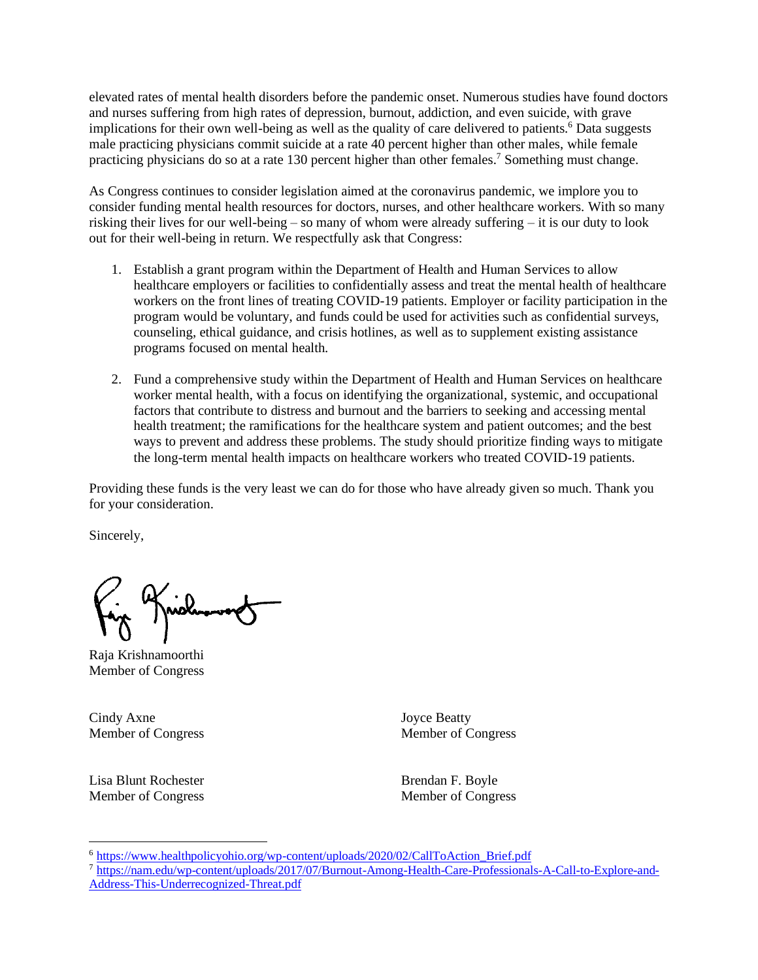elevated rates of mental health disorders before the pandemic onset. Numerous studies have found doctors and nurses suffering from high rates of depression, burnout, addiction, and even suicide, with grave implications for their own well-being as well as the quality of care delivered to patients.<sup>6</sup> Data suggests male practicing physicians commit suicide at a rate 40 percent higher than other males, while female practicing physicians do so at a rate 130 percent higher than other females.<sup>7</sup> Something must change.

As Congress continues to consider legislation aimed at the coronavirus pandemic, we implore you to consider funding mental health resources for doctors, nurses, and other healthcare workers. With so many risking their lives for our well-being – so many of whom were already suffering – it is our duty to look out for their well-being in return. We respectfully ask that Congress:

- 1. Establish a grant program within the Department of Health and Human Services to allow healthcare employers or facilities to confidentially assess and treat the mental health of healthcare workers on the front lines of treating COVID-19 patients. Employer or facility participation in the program would be voluntary, and funds could be used for activities such as confidential surveys, counseling, ethical guidance, and crisis hotlines, as well as to supplement existing assistance programs focused on mental health.
- 2. Fund a comprehensive study within the Department of Health and Human Services on healthcare worker mental health, with a focus on identifying the organizational, systemic, and occupational factors that contribute to distress and burnout and the barriers to seeking and accessing mental health treatment; the ramifications for the healthcare system and patient outcomes; and the best ways to prevent and address these problems. The study should prioritize finding ways to mitigate the long-term mental health impacts on healthcare workers who treated COVID-19 patients.

Providing these funds is the very least we can do for those who have already given so much. Thank you for your consideration.

Sincerely,

Raja Krishnamoorthi Member of Congress

Cindy Axne Joyce Beatty

Lisa Blunt Rochester **Brendan F. Boyle** Brendan F. Boyle Member of Congress Member of Congress

<sup>6</sup> [https://www.healthpolicyohio.org/wp-content/uploads/2020/02/CallToAction\\_Brief.pdf](https://www.healthpolicyohio.org/wp-content/uploads/2020/02/CallToAction_Brief.pdf)

<sup>7</sup> [https://nam.edu/wp-content/uploads/2017/07/Burnout-Among-Health-Care-Professionals-A-Call-to-Explore-and-](https://nam.edu/wp-content/uploads/2017/07/Burnout-Among-Health-Care-Professionals-A-Call-to-Explore-and-Address-This-Underrecognized-Threat.pdf)

[Address-This-Underrecognized-Threat.pdf](https://nam.edu/wp-content/uploads/2017/07/Burnout-Among-Health-Care-Professionals-A-Call-to-Explore-and-Address-This-Underrecognized-Threat.pdf)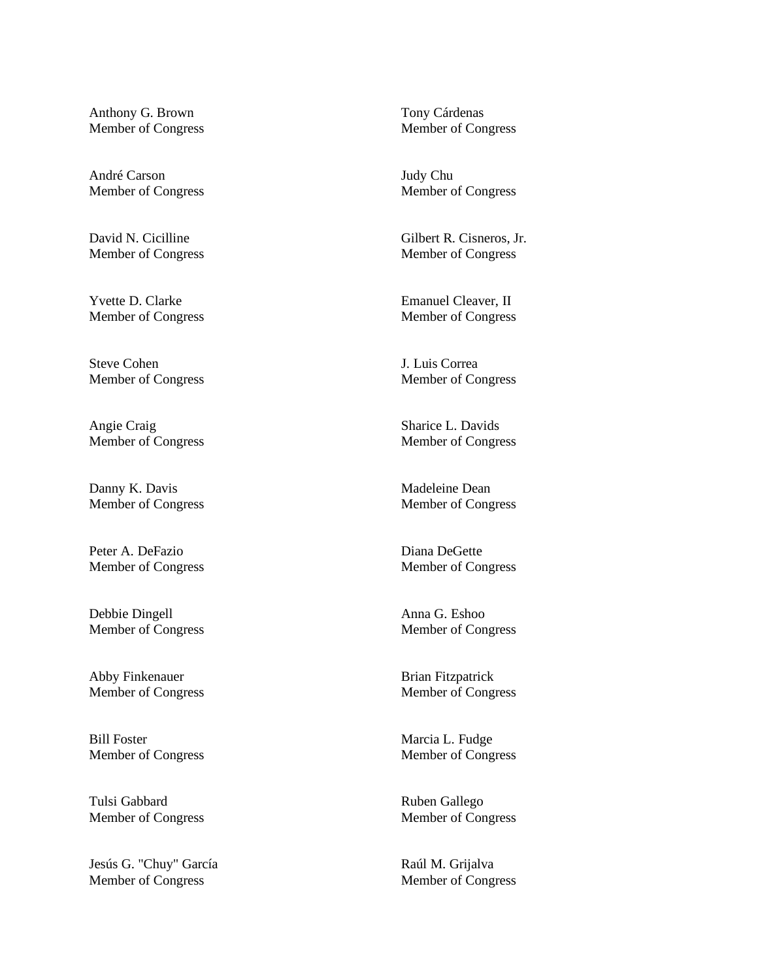Anthony G. Brown Tony Cárdenas

André Carson Judy Chu Member of Congress Member of Congress

Steve Cohen J. Luis Correa

Angie Craig Sharice L. Davids Member of Congress Member of Congress

Danny K. Davis Madeleine Dean

Peter A. DeFazio Diana DeGette

Debbie Dingell Anna G. Eshoo

Abby Finkenauer Brian Fitzpatrick

Bill Foster Marcia L. Fudge

Tulsi Gabbard **Ruben Gallego** Member of Congress Member of Congress

Jesús G. "Chuy" García Raúl M. Grijalva Member of Congress Member of Congress

Member of Congress Member of Congress

David N. Cicilline Gilbert R. Cisneros, Jr. Member of Congress Member of Congress

Yvette D. Clarke Emanuel Cleaver, II Member of Congress Member of Congress

Member of Congress Member of Congress

Member of Congress Member of Congress

Member of Congress Member of Congress

Member of Congress Member of Congress

Member of Congress Member of Congress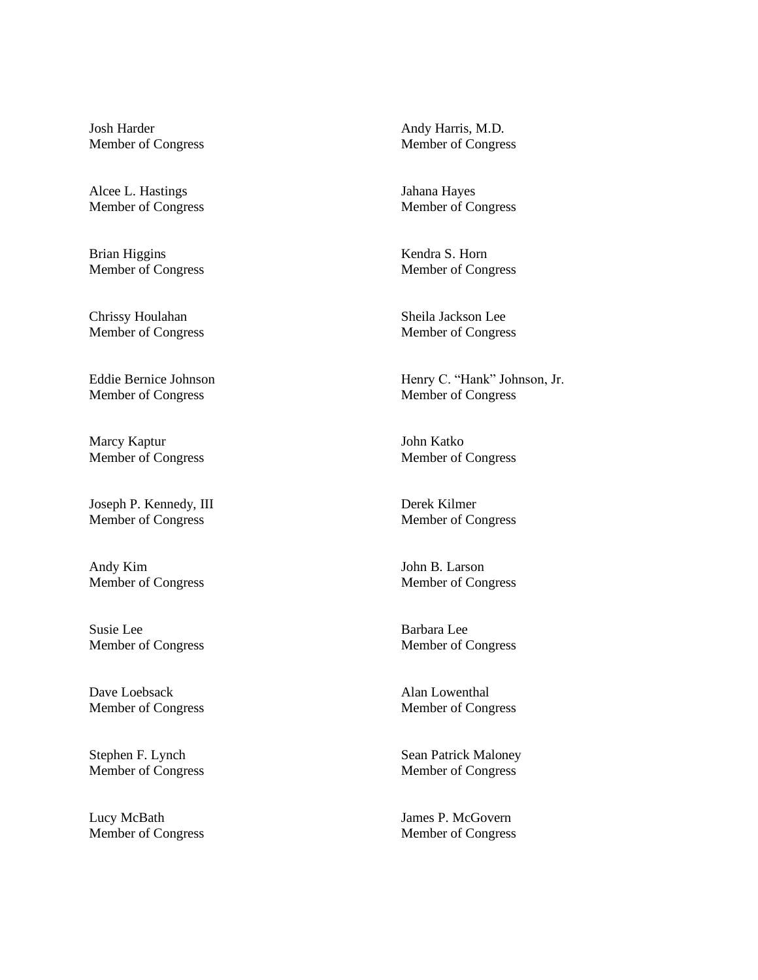Josh Harder Andy Harris, M.D. Member of Congress Member of Congress

Alcee L. Hastings **Iahana Hayes** 

Brian Higgins Kendra S. Horn

Chrissy Houlahan Sheila Jackson Lee Member of Congress Member of Congress

Member of Congress Member of Congress

Marcy Kaptur **March** John Katko

Joseph P. Kennedy, III Derek Kilmer Member of Congress Member of Congress

Andy Kim John B. Larson

Susie Lee Barbara Lee Member of Congress Member of Congress

Dave Loebsack Alan Lowenthal

Stephen F. Lynch Sean Patrick Maloney

Lucy McBath James P. McGovern Member of Congress Member of Congress

Member of Congress Member of Congress

Member of Congress Member of Congress

Eddie Bernice Johnson Henry C. "Hank" Johnson, Jr.

Member of Congress Member of Congress

Member of Congress Member of Congress

Member of Congress Member of Congress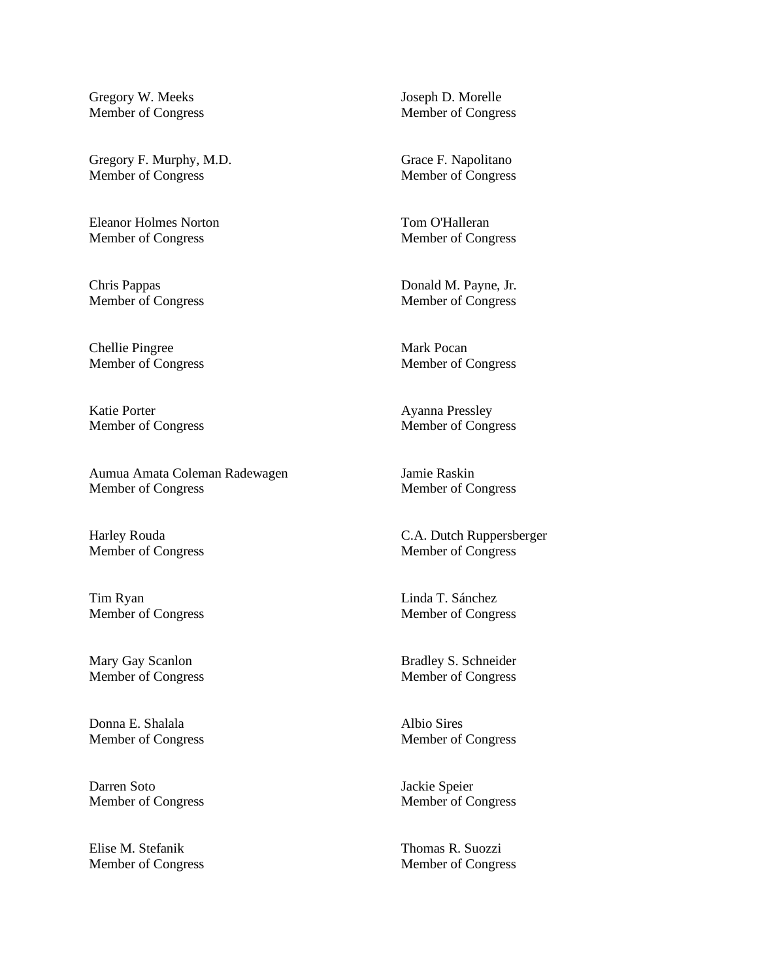Gregory W. Meeks Joseph D. Morelle

Gregory F. Murphy, M.D. Grace F. Napolitano Member of Congress Member of Congress

Eleanor Holmes Norton Tom O'Halleran Member of Congress Member of Congress

Chellie Pingree Mark Pocan

Katie Porter Ayanna Pressley

Aumua Amata Coleman Radewagen Jamie Raskin Member of Congress Member of Congress

Tim Ryan Linda T. Sánchez Member of Congress Member of Congress

Donna E. Shalala Albio Sires

Darren Soto Jackie Speier

Elise M. Stefanik Thomas R. Suozzi Member of Congress Member of Congress

Member of Congress Member of Congress

Chris Pappas Donald M. Payne, Jr. Member of Congress Member of Congress

Member of Congress Member of Congress

Member of Congress Member of Congress

Harley Rouda C.A. Dutch Ruppersberger Member of Congress Member of Congress

Mary Gay Scanlon Bradley S. Schneider Member of Congress Member of Congress

Member of Congress Member of Congress